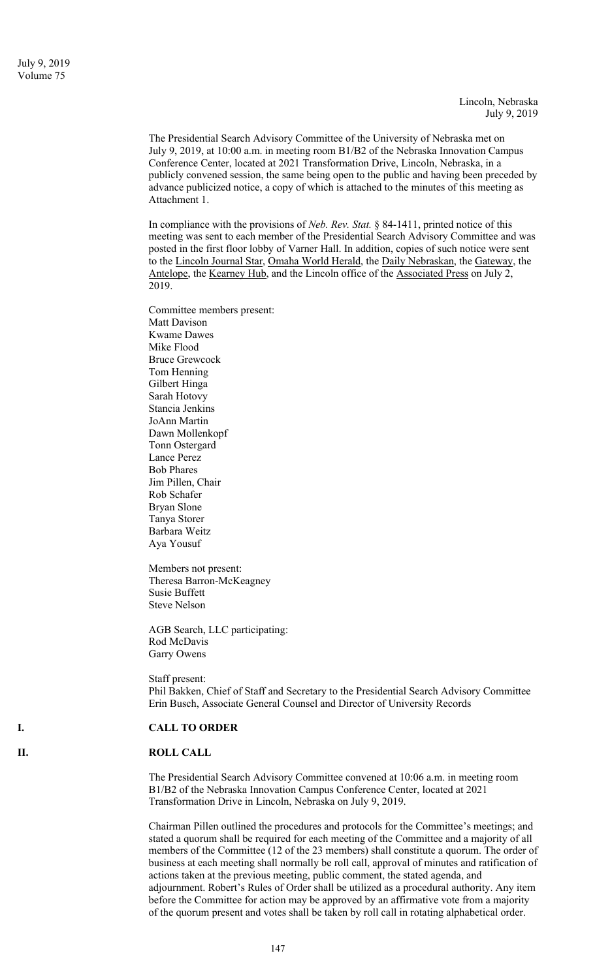The Presidential Search Advisory Committee of the University of Nebraska met on July 9, 2019, at 10:00 a.m. in meeting room B1/B2 of the Nebraska Innovation Campus Conference Center, located at 2021 Transformation Drive, Lincoln, Nebraska, in a publicly convened session, the same being open to the public and having been preceded by advance publicized notice, a copy of which is attached to the minutes of this meeting as Attachment 1.

In compliance with the provisions of *Neb. Rev. Stat.* § 84-1411, printed notice of this meeting was sent to each member of the Presidential Search Advisory Committee and was posted in the first floor lobby of Varner Hall. In addition, copies of such notice were sent to the Lincoln Journal Star, Omaha World Herald, the Daily Nebraskan, the Gateway, the Antelope, the Kearney Hub, and the Lincoln office of the Associated Press on July 2, 2019.

Committee members present: Matt Davison Kwame Dawes Mike Flood Bruce Grewcock Tom Henning Gilbert Hinga Sarah Hotovy Stancia Jenkins JoAnn Martin Dawn Mollenkopf Tonn Ostergard Lance Perez Bob Phares Jim Pillen, Chair Rob Schafer Bryan Slone Tanya Storer Barbara Weitz Aya Yousuf

Members not present: Theresa Barron-McKeagney Susie Buffett Steve Nelson

AGB Search, LLC participating: Rod McDavis Garry Owens

Staff present: Phil Bakken, Chief of Staff and Secretary to the Presidential Search Advisory Committee Erin Busch, Associate General Counsel and Director of University Records

## **I. CALL TO ORDER**

## **II. ROLL CALL**

The Presidential Search Advisory Committee convened at 10:06 a.m. in meeting room B1/B2 of the Nebraska Innovation Campus Conference Center, located at 2021 Transformation Drive in Lincoln, Nebraska on July 9, 2019.

Chairman Pillen outlined the procedures and protocols for the Committee's meetings; and stated a quorum shall be required for each meeting of the Committee and a majority of all members of the Committee (12 of the 23 members) shall constitute a quorum. The order of business at each meeting shall normally be roll call, approval of minutes and ratification of actions taken at the previous meeting, public comment, the stated agenda, and adjournment. Robert's Rules of Order shall be utilized as a procedural authority. Any item before the Committee for action may be approved by an affirmative vote from a majority of the quorum present and votes shall be taken by roll call in rotating alphabetical order.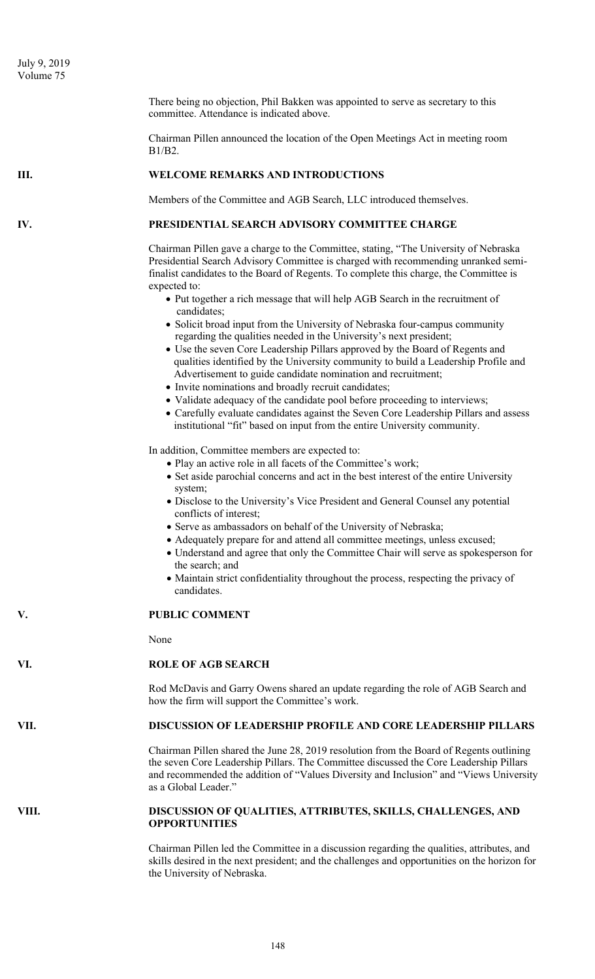|       | There being no objection, Phil Bakken was appointed to serve as secretary to this<br>committee. Attendance is indicated above.                                                                                                                                                                                                                                                                                                                                                                                                                                                                                                                                                                    |
|-------|---------------------------------------------------------------------------------------------------------------------------------------------------------------------------------------------------------------------------------------------------------------------------------------------------------------------------------------------------------------------------------------------------------------------------------------------------------------------------------------------------------------------------------------------------------------------------------------------------------------------------------------------------------------------------------------------------|
|       | Chairman Pillen announced the location of the Open Meetings Act in meeting room<br>B1/B2.                                                                                                                                                                                                                                                                                                                                                                                                                                                                                                                                                                                                         |
| Ш.    | <b>WELCOME REMARKS AND INTRODUCTIONS</b>                                                                                                                                                                                                                                                                                                                                                                                                                                                                                                                                                                                                                                                          |
|       | Members of the Committee and AGB Search, LLC introduced themselves.                                                                                                                                                                                                                                                                                                                                                                                                                                                                                                                                                                                                                               |
| IV.   | PRESIDENTIAL SEARCH ADVISORY COMMITTEE CHARGE                                                                                                                                                                                                                                                                                                                                                                                                                                                                                                                                                                                                                                                     |
|       | Chairman Pillen gave a charge to the Committee, stating, "The University of Nebraska<br>Presidential Search Advisory Committee is charged with recommending unranked semi-<br>finalist candidates to the Board of Regents. To complete this charge, the Committee is<br>expected to:<br>• Put together a rich message that will help AGB Search in the recruitment of<br>candidates;<br>• Solicit broad input from the University of Nebraska four-campus community                                                                                                                                                                                                                               |
|       | regarding the qualities needed in the University's next president;<br>• Use the seven Core Leadership Pillars approved by the Board of Regents and<br>qualities identified by the University community to build a Leadership Profile and<br>Advertisement to guide candidate nomination and recruitment;                                                                                                                                                                                                                                                                                                                                                                                          |
|       | • Invite nominations and broadly recruit candidates;<br>• Validate adequacy of the candidate pool before proceeding to interviews;<br>• Carefully evaluate candidates against the Seven Core Leadership Pillars and assess<br>institutional "fit" based on input from the entire University community.                                                                                                                                                                                                                                                                                                                                                                                            |
|       | In addition, Committee members are expected to:<br>• Play an active role in all facets of the Committee's work;<br>• Set aside parochial concerns and act in the best interest of the entire University<br>system;<br>• Disclose to the University's Vice President and General Counsel any potential<br>conflicts of interest;<br>• Serve as ambassadors on behalf of the University of Nebraska;<br>• Adequately prepare for and attend all committee meetings, unless excused;<br>• Understand and agree that only the Committee Chair will serve as spokesperson for<br>the search; and<br>• Maintain strict confidentiality throughout the process, respecting the privacy of<br>candidates. |
| V.    | <b>PUBLIC COMMENT</b>                                                                                                                                                                                                                                                                                                                                                                                                                                                                                                                                                                                                                                                                             |
| VI.   | None<br><b>ROLE OF AGB SEARCH</b>                                                                                                                                                                                                                                                                                                                                                                                                                                                                                                                                                                                                                                                                 |
|       | Rod McDavis and Garry Owens shared an update regarding the role of AGB Search and<br>how the firm will support the Committee's work.                                                                                                                                                                                                                                                                                                                                                                                                                                                                                                                                                              |
| VII.  | <b>DISCUSSION OF LEADERSHIP PROFILE AND CORE LEADERSHIP PILLARS</b>                                                                                                                                                                                                                                                                                                                                                                                                                                                                                                                                                                                                                               |
|       | Chairman Pillen shared the June 28, 2019 resolution from the Board of Regents outlining<br>the seven Core Leadership Pillars. The Committee discussed the Core Leadership Pillars<br>and recommended the addition of "Values Diversity and Inclusion" and "Views University<br>as a Global Leader."                                                                                                                                                                                                                                                                                                                                                                                               |
| VIII. | DISCUSSION OF QUALITIES, ATTRIBUTES, SKILLS, CHALLENGES, AND<br><b>OPPORTUNITIES</b>                                                                                                                                                                                                                                                                                                                                                                                                                                                                                                                                                                                                              |
|       | Chairman Pillen led the Committee in a discussion regarding the qualities, attributes, and<br>skills desired in the next president; and the challenges and opportunities on the horizon for<br>the University of Nebraska.                                                                                                                                                                                                                                                                                                                                                                                                                                                                        |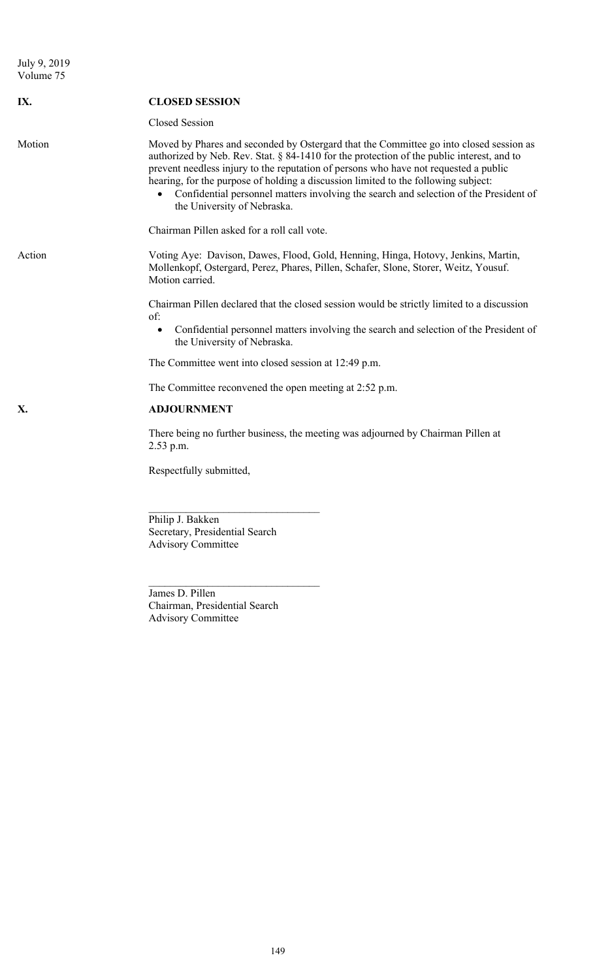| IX.    | <b>CLOSED SESSION</b>                                                                                                                                                                                                                                                                                                                                                                                                                                                                                  |
|--------|--------------------------------------------------------------------------------------------------------------------------------------------------------------------------------------------------------------------------------------------------------------------------------------------------------------------------------------------------------------------------------------------------------------------------------------------------------------------------------------------------------|
|        | Closed Session                                                                                                                                                                                                                                                                                                                                                                                                                                                                                         |
| Motion | Moved by Phares and seconded by Ostergard that the Committee go into closed session as<br>authorized by Neb. Rev. Stat. § 84-1410 for the protection of the public interest, and to<br>prevent needless injury to the reputation of persons who have not requested a public<br>hearing, for the purpose of holding a discussion limited to the following subject:<br>Confidential personnel matters involving the search and selection of the President of<br>$\bullet$<br>the University of Nebraska. |
|        | Chairman Pillen asked for a roll call vote.                                                                                                                                                                                                                                                                                                                                                                                                                                                            |
| Action | Voting Aye: Davison, Dawes, Flood, Gold, Henning, Hinga, Hotovy, Jenkins, Martin,<br>Mollenkopf, Ostergard, Perez, Phares, Pillen, Schafer, Slone, Storer, Weitz, Yousuf.<br>Motion carried.                                                                                                                                                                                                                                                                                                           |
|        | Chairman Pillen declared that the closed session would be strictly limited to a discussion<br>of:                                                                                                                                                                                                                                                                                                                                                                                                      |
|        | Confidential personnel matters involving the search and selection of the President of<br>$\bullet$<br>the University of Nebraska.                                                                                                                                                                                                                                                                                                                                                                      |
|        | The Committee went into closed session at 12:49 p.m.                                                                                                                                                                                                                                                                                                                                                                                                                                                   |
|        | The Committee reconvened the open meeting at 2:52 p.m.                                                                                                                                                                                                                                                                                                                                                                                                                                                 |
| X.     | <b>ADJOURNMENT</b>                                                                                                                                                                                                                                                                                                                                                                                                                                                                                     |
|        | There being no further business, the meeting was adjourned by Chairman Pillen at<br>2.53 p.m.                                                                                                                                                                                                                                                                                                                                                                                                          |
|        | Respectfully submitted,                                                                                                                                                                                                                                                                                                                                                                                                                                                                                |
|        |                                                                                                                                                                                                                                                                                                                                                                                                                                                                                                        |
|        | Philip J. Bakken<br>Secretary Presidential Search                                                                                                                                                                                                                                                                                                                                                                                                                                                      |

Secretary, Presidential Search Advisory Committee

James D. Pillen Chairman, Presidential Search Advisory Committee